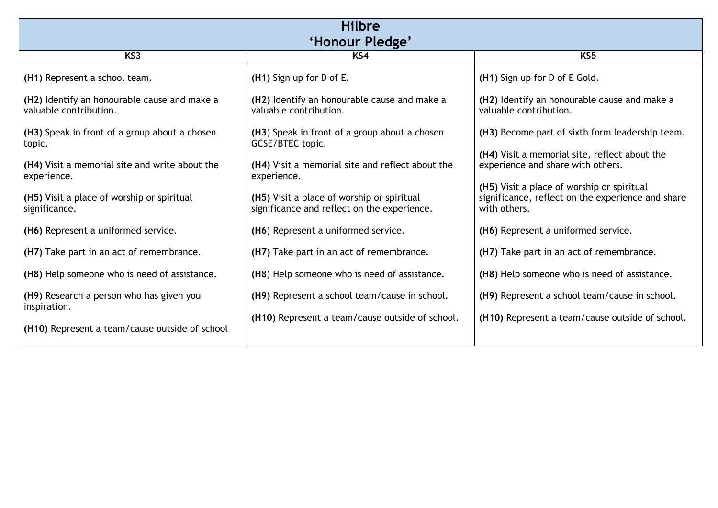| <b>Hilbre</b>                                                          |                                                                                           |                                                                                                                 |  |
|------------------------------------------------------------------------|-------------------------------------------------------------------------------------------|-----------------------------------------------------------------------------------------------------------------|--|
| 'Honour Pledge'                                                        |                                                                                           |                                                                                                                 |  |
| KS <sub>3</sub>                                                        | KS4                                                                                       | KS <sub>5</sub>                                                                                                 |  |
| (H1) Represent a school team.                                          | (H1) Sign up for D of E.                                                                  | (H1) Sign up for D of E Gold.                                                                                   |  |
| (H2) Identify an honourable cause and make a<br>valuable contribution. | (H2) Identify an honourable cause and make a<br>valuable contribution.                    | (H2) Identify an honourable cause and make a<br>valuable contribution.                                          |  |
| (H3) Speak in front of a group about a chosen<br>topic.                | (H3) Speak in front of a group about a chosen<br>GCSE/BTEC topic.                         | (H3) Become part of sixth form leadership team.                                                                 |  |
| (H4) Visit a memorial site and write about the<br>experience.          | (H4) Visit a memorial site and reflect about the<br>experience.                           | (H4) Visit a memorial site, reflect about the<br>experience and share with others.                              |  |
| (H5) Visit a place of worship or spiritual<br>significance.            | (H5) Visit a place of worship or spiritual<br>significance and reflect on the experience. | (H5) Visit a place of worship or spiritual<br>significance, reflect on the experience and share<br>with others. |  |
| (H6) Represent a uniformed service.                                    | (H6) Represent a uniformed service.                                                       | (H6) Represent a uniformed service.                                                                             |  |
| (H7) Take part in an act of remembrance.                               | (H7) Take part in an act of remembrance.                                                  | (H7) Take part in an act of remembrance.                                                                        |  |
| (H8) Help someone who is need of assistance.                           | (H8) Help someone who is need of assistance.                                              | (H8) Help someone who is need of assistance.                                                                    |  |
| (H9) Research a person who has given you<br>inspiration.               | (H9) Represent a school team/cause in school.                                             | (H9) Represent a school team/cause in school.                                                                   |  |
| (H <sub>10</sub> ) Represent a team/cause outside of school            | (H10) Represent a team/cause outside of school.                                           | (H <sub>10</sub> ) Represent a team/cause outside of school.                                                    |  |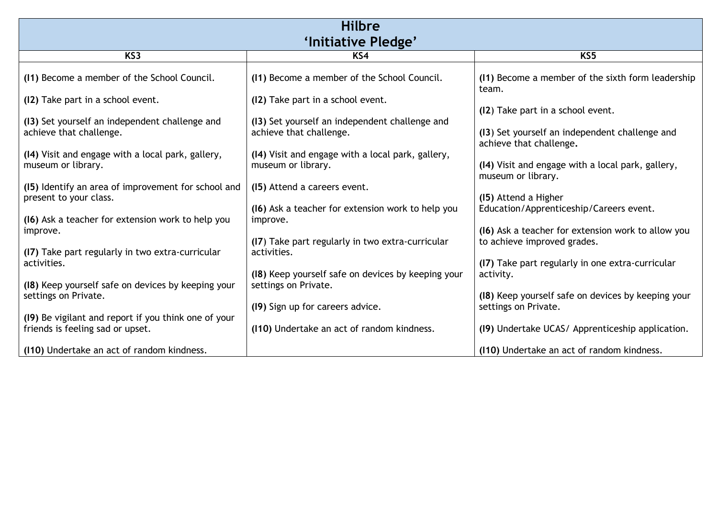| <b>Hilbre</b>                                                                 |                                                                         |                                                                                   |  |
|-------------------------------------------------------------------------------|-------------------------------------------------------------------------|-----------------------------------------------------------------------------------|--|
| 'Initiative Pledge'                                                           |                                                                         |                                                                                   |  |
| KS <sub>3</sub>                                                               | KS4                                                                     | KS5                                                                               |  |
| (11) Become a member of the School Council.                                   | (11) Become a member of the School Council.                             | (11) Become a member of the sixth form leadership<br>team.                        |  |
| (12) Take part in a school event.                                             | (12) Take part in a school event.                                       |                                                                                   |  |
| (13) Set yourself an independent challenge and                                | (13) Set yourself an independent challenge and                          | (12) Take part in a school event.                                                 |  |
| achieve that challenge.                                                       | achieve that challenge.                                                 | (13) Set yourself an independent challenge and<br>achieve that challenge.         |  |
| (14) Visit and engage with a local park, gallery,<br>museum or library.       | (14) Visit and engage with a local park, gallery,<br>museum or library. | (14) Visit and engage with a local park, gallery,<br>museum or library.           |  |
| (15) Identify an area of improvement for school and<br>present to your class. | (15) Attend a careers event.                                            | (15) Attend a Higher                                                              |  |
| (16) Ask a teacher for extension work to help you                             | (16) Ask a teacher for extension work to help you<br>improve.           | Education/Apprenticeship/Careers event.                                           |  |
| improve.                                                                      |                                                                         | (16) Ask a teacher for extension work to allow you<br>to achieve improved grades. |  |
| (17) Take part regularly in two extra-curricular                              | (I7) Take part regularly in two extra-curricular<br>activities.         |                                                                                   |  |
| activities.                                                                   | (18) Keep yourself safe on devices by keeping your                      | (17) Take part regularly in one extra-curricular<br>activity.                     |  |
| (18) Keep yourself safe on devices by keeping your                            | settings on Private.                                                    |                                                                                   |  |
| settings on Private.                                                          |                                                                         | (18) Keep yourself safe on devices by keeping your                                |  |
| (19) Be vigilant and report if you think one of your                          | (19) Sign up for careers advice.                                        | settings on Private.                                                              |  |
| friends is feeling sad or upset.                                              | (110) Undertake an act of random kindness.                              | (19) Undertake UCAS/ Apprenticeship application.                                  |  |
| (110) Undertake an act of random kindness.                                    |                                                                         | (110) Undertake an act of random kindness.                                        |  |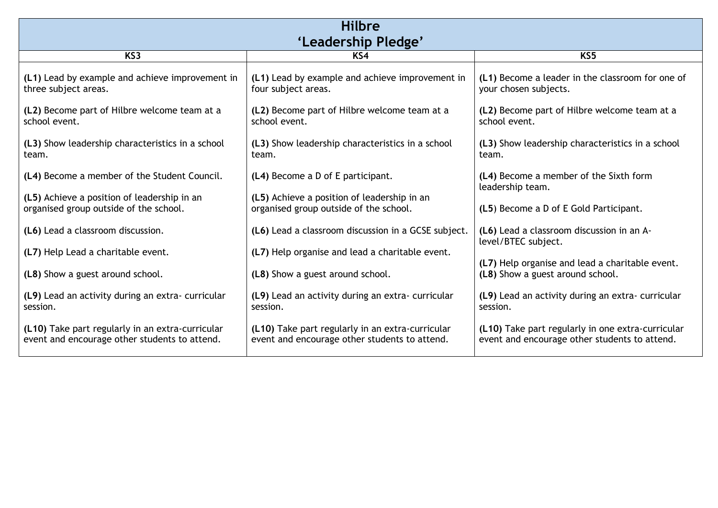| <b>Hilbre</b>                                                                                     |                                                                                                   |                                                                                                    |  |
|---------------------------------------------------------------------------------------------------|---------------------------------------------------------------------------------------------------|----------------------------------------------------------------------------------------------------|--|
| 'Leadership Pledge'                                                                               |                                                                                                   |                                                                                                    |  |
| K <sub>S</sub>                                                                                    | KS4                                                                                               | K <sub>5</sub>                                                                                     |  |
| (L1) Lead by example and achieve improvement in<br>three subject areas.                           | (L1) Lead by example and achieve improvement in<br>four subject areas.                            | (L1) Become a leader in the classroom for one of<br>your chosen subjects.                          |  |
| (L2) Become part of Hilbre welcome team at a<br>school event.                                     | (L2) Become part of Hilbre welcome team at a<br>school event.                                     | (L2) Become part of Hilbre welcome team at a<br>school event.                                      |  |
| (L3) Show leadership characteristics in a school<br>team.                                         | (L3) Show leadership characteristics in a school<br>team.                                         | (L3) Show leadership characteristics in a school<br>team.                                          |  |
| (L4) Become a member of the Student Council.                                                      | (L4) Become a D of E participant.                                                                 | (L4) Become a member of the Sixth form<br>leadership team.                                         |  |
| (L5) Achieve a position of leadership in an<br>organised group outside of the school.             | (L5) Achieve a position of leadership in an<br>organised group outside of the school.             | (L5) Become a D of E Gold Participant.                                                             |  |
| (L6) Lead a classroom discussion.                                                                 | (L6) Lead a classroom discussion in a GCSE subject.                                               | (L6) Lead a classroom discussion in an A-<br>level/BTEC subject.                                   |  |
| (L7) Help Lead a charitable event.                                                                | (L7) Help organise and lead a charitable event.                                                   |                                                                                                    |  |
| (L8) Show a guest around school.                                                                  | (L8) Show a guest around school.                                                                  | (L7) Help organise and lead a charitable event.<br>(L8) Show a guest around school.                |  |
| (L9) Lead an activity during an extra-curricular<br>session.                                      | (L9) Lead an activity during an extra-curricular<br>session.                                      | (L9) Lead an activity during an extra-curricular<br>session.                                       |  |
| (L10) Take part regularly in an extra-curricular<br>event and encourage other students to attend. | (L10) Take part regularly in an extra-curricular<br>event and encourage other students to attend. | (L10) Take part regularly in one extra-curricular<br>event and encourage other students to attend. |  |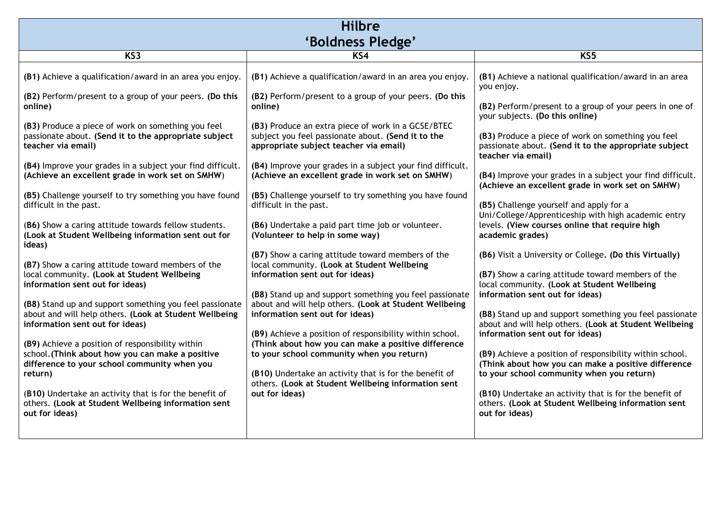| <b>Hilbre</b>                                                                                                                                                                                                                                                                                                                                                                                                                                                                                                                                                                                                                                                                                                                                                                                         |                                                                                                                                                                                                                                                                                                                                                                                                                                                                                                                                                                                                                                                                                                                                                                                                                                                 |                                                                                                                                                                                                                                                                                                                                                                                                                                                                                                                                                                                                                                                                                                                                                                                                     |  |
|-------------------------------------------------------------------------------------------------------------------------------------------------------------------------------------------------------------------------------------------------------------------------------------------------------------------------------------------------------------------------------------------------------------------------------------------------------------------------------------------------------------------------------------------------------------------------------------------------------------------------------------------------------------------------------------------------------------------------------------------------------------------------------------------------------|-------------------------------------------------------------------------------------------------------------------------------------------------------------------------------------------------------------------------------------------------------------------------------------------------------------------------------------------------------------------------------------------------------------------------------------------------------------------------------------------------------------------------------------------------------------------------------------------------------------------------------------------------------------------------------------------------------------------------------------------------------------------------------------------------------------------------------------------------|-----------------------------------------------------------------------------------------------------------------------------------------------------------------------------------------------------------------------------------------------------------------------------------------------------------------------------------------------------------------------------------------------------------------------------------------------------------------------------------------------------------------------------------------------------------------------------------------------------------------------------------------------------------------------------------------------------------------------------------------------------------------------------------------------------|--|
| 'Boldness Pledge'                                                                                                                                                                                                                                                                                                                                                                                                                                                                                                                                                                                                                                                                                                                                                                                     |                                                                                                                                                                                                                                                                                                                                                                                                                                                                                                                                                                                                                                                                                                                                                                                                                                                 |                                                                                                                                                                                                                                                                                                                                                                                                                                                                                                                                                                                                                                                                                                                                                                                                     |  |
| K <sub>S</sub> 3                                                                                                                                                                                                                                                                                                                                                                                                                                                                                                                                                                                                                                                                                                                                                                                      | K <sub>54</sub>                                                                                                                                                                                                                                                                                                                                                                                                                                                                                                                                                                                                                                                                                                                                                                                                                                 | KS <sub>5</sub>                                                                                                                                                                                                                                                                                                                                                                                                                                                                                                                                                                                                                                                                                                                                                                                     |  |
| (B1) Achieve a qualification/award in an area you enjoy.<br>(B2) Perform/present to a group of your peers. (Do this<br>online)<br>(B3) Produce a piece of work on something you feel<br>passionate about. (Send it to the appropriate subject<br>teacher via email)<br>(B4) Improve your grades in a subject your find difficult.<br>(Achieve an excellent grade in work set on SMHW)<br>(B5) Challenge yourself to try something you have found<br>difficult in the past.<br>(B6) Show a caring attitude towards fellow students.<br>(Look at Student Wellbeing information sent out for<br>ideas)<br>(B7) Show a caring attitude toward members of the<br>local community. (Look at Student Wellbeing<br>information sent out for ideas)<br>(B8) Stand up and support something you feel passionate | (B1) Achieve a qualification/award in an area you enjoy.<br>(B2) Perform/present to a group of your peers. (Do this<br>online)<br>(B3) Produce an extra piece of work in a GCSE/BTEC<br>subject you feel passionate about. (Send it to the<br>appropriate subject teacher via email)<br>(B4) Improve your grades in a subject your find difficult.<br>(Achieve an excellent grade in work set on SMHW)<br>(B5) Challenge yourself to try something you have found<br>difficult in the past.<br>(B6) Undertake a paid part time job or volunteer.<br>(Volunteer to help in some way)<br>(B7) Show a caring attitude toward members of the<br>local community. (Look at Student Wellbeing<br>information sent out for ideas)<br>(B8) Stand up and support something you feel passionate<br>about and will help others. (Look at Student Wellbeing | (B1) Achieve a national qualification/award in an area<br>you enjoy.<br>(B2) Perform/present to a group of your peers in one of<br>your subjects. (Do this online)<br>(B3) Produce a piece of work on something you feel<br>passionate about. (Send it to the appropriate subject<br>teacher via email)<br>(B4) Improve your grades in a subject your find difficult.<br>(Achieve an excellent grade in work set on SMHW)<br>(B5) Challenge yourself and apply for a<br>Uni/College/Apprenticeship with high academic entry<br>levels. (View courses online that require high<br>academic grades)<br>(B6) Visit a University or College. (Do this Virtually)<br>(B7) Show a caring attitude toward members of the<br>local community. (Look at Student Wellbeing<br>information sent out for ideas) |  |
| about and will help others. (Look at Student Wellbeing<br>information sent out for ideas)<br>(B9) Achieve a position of responsibility within                                                                                                                                                                                                                                                                                                                                                                                                                                                                                                                                                                                                                                                         | information sent out for ideas)<br>(B9) Achieve a position of responsibility within school.<br>(Think about how you can make a positive difference                                                                                                                                                                                                                                                                                                                                                                                                                                                                                                                                                                                                                                                                                              | (B8) Stand up and support something you feel passionate<br>about and will help others. (Look at Student Wellbeing<br>information sent out for ideas)                                                                                                                                                                                                                                                                                                                                                                                                                                                                                                                                                                                                                                                |  |
| school. (Think about how you can make a positive<br>difference to your school community when you<br>return)                                                                                                                                                                                                                                                                                                                                                                                                                                                                                                                                                                                                                                                                                           | to your school community when you return)<br>(B10) Undertake an activity that is for the benefit of<br>others. (Look at Student Wellbeing information sent                                                                                                                                                                                                                                                                                                                                                                                                                                                                                                                                                                                                                                                                                      | (B9) Achieve a position of responsibility within school.<br>(Think about how you can make a positive difference<br>to your school community when you return)                                                                                                                                                                                                                                                                                                                                                                                                                                                                                                                                                                                                                                        |  |
| (B10) Undertake an activity that is for the benefit of<br>others. (Look at Student Wellbeing information sent<br>out for ideas)                                                                                                                                                                                                                                                                                                                                                                                                                                                                                                                                                                                                                                                                       | out for ideas)                                                                                                                                                                                                                                                                                                                                                                                                                                                                                                                                                                                                                                                                                                                                                                                                                                  | (B10) Undertake an activity that is for the benefit of<br>others. (Look at Student Wellbeing information sent<br>out for ideas)                                                                                                                                                                                                                                                                                                                                                                                                                                                                                                                                                                                                                                                                     |  |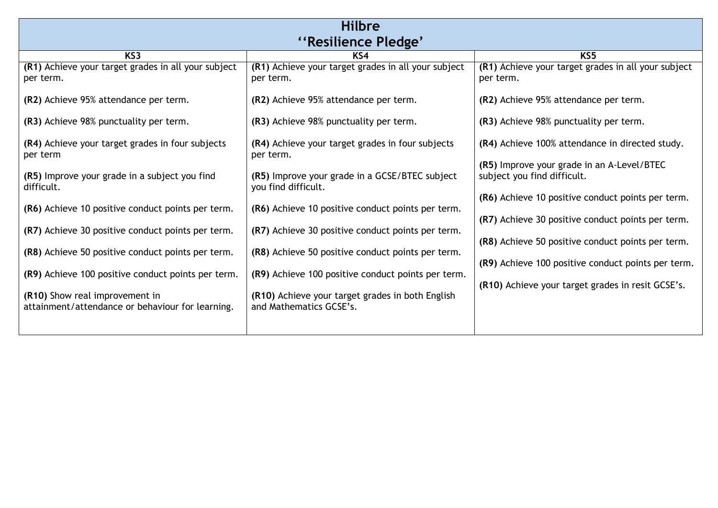| <b>Hilbre</b>                                                                      |                                                                             |                                                                                                        |  |
|------------------------------------------------------------------------------------|-----------------------------------------------------------------------------|--------------------------------------------------------------------------------------------------------|--|
| "Resilience Pledge"                                                                |                                                                             |                                                                                                        |  |
|                                                                                    |                                                                             |                                                                                                        |  |
| KS <sub>3</sub>                                                                    | KS4                                                                         | KS <sub>5</sub>                                                                                        |  |
| (R1) Achieve your target grades in all your subject<br>per term.                   | (R1) Achieve your target grades in all your subject<br>per term.            | (R1) Achieve your target grades in all your subject<br>per term.                                       |  |
| (R2) Achieve 95% attendance per term.                                              | (R2) Achieve 95% attendance per term.                                       | (R2) Achieve 95% attendance per term.                                                                  |  |
| (R3) Achieve 98% punctuality per term.                                             | (R3) Achieve 98% punctuality per term.                                      | (R3) Achieve 98% punctuality per term.                                                                 |  |
| (R4) Achieve your target grades in four subjects<br>per term                       | (R4) Achieve your target grades in four subjects<br>per term.               | (R4) Achieve 100% attendance in directed study.                                                        |  |
| (R5) Improve your grade in a subject you find<br>difficult.                        | (R5) Improve your grade in a GCSE/BTEC subject<br>you find difficult.       | (R5) Improve your grade in an A-Level/BTEC<br>subject you find difficult.                              |  |
| (R6) Achieve 10 positive conduct points per term.                                  | (R6) Achieve 10 positive conduct points per term.                           | (R6) Achieve 10 positive conduct points per term.<br>(R7) Achieve 30 positive conduct points per term. |  |
| (R7) Achieve 30 positive conduct points per term.                                  | (R7) Achieve 30 positive conduct points per term.                           | (R8) Achieve 50 positive conduct points per term.                                                      |  |
| (R8) Achieve 50 positive conduct points per term.                                  | (R8) Achieve 50 positive conduct points per term.                           | (R9) Achieve 100 positive conduct points per term.                                                     |  |
| (R9) Achieve 100 positive conduct points per term.                                 | (R9) Achieve 100 positive conduct points per term.                          |                                                                                                        |  |
| (R10) Show real improvement in<br>attainment/attendance or behaviour for learning. | (R10) Achieve your target grades in both English<br>and Mathematics GCSE's. |                                                                                                        |  |
|                                                                                    |                                                                             | (R10) Achieve your target grades in resit GCSE's.                                                      |  |